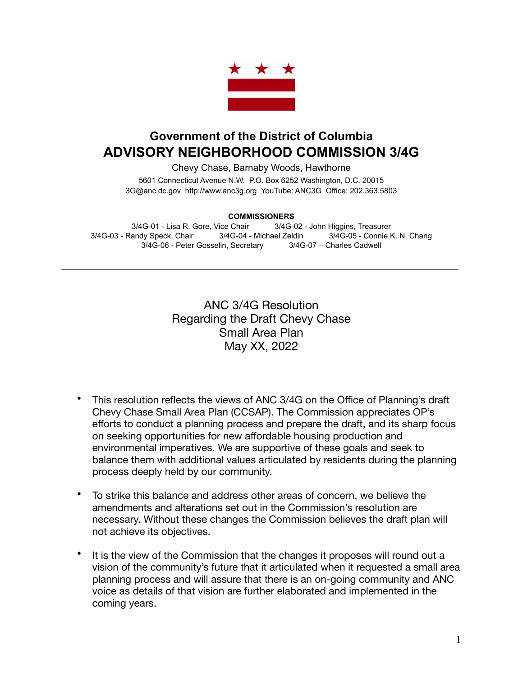

# **Government of the District of Columbia ADVISORY NEIGHBORHOOD COMMISSION 3/4G**

Chevy Chase, Barnaby Woods, Hawthorne

5601 Connecticut Avenue N.W. P.O. Box 6252 Washington, D.C. 20015 3G@anc.dc.gov <http://www.anc3g.org>YouTube: ANC3G Office: 202.363.5803

#### **COMMISSIONERS**

3/4G-01 - Lisa R. Gore, Vice Chair 3/4G-02 - John Higgins, Treasurer 3/4G-03 - Randy Speck, Chair 3/4G-04 - Michael Zeldin 3/4G-05 - Connie K. N. Chang 3/4G-06 - Peter Gosselin, Secretary 3/4G-07 – Charles Cadwell

\_\_\_\_\_\_\_\_\_\_\_\_\_\_\_\_\_\_\_\_\_\_\_\_\_\_\_\_\_\_\_\_\_\_\_\_\_\_\_\_\_\_\_\_\_\_\_\_\_\_\_\_\_\_\_\_\_\_\_\_\_\_\_\_\_\_\_\_\_\_\_\_\_\_\_\_

ANC 3/4G Resolution Regarding the Draft Chevy Chase Small Area Plan May XX, 2022

- This resolution reflects the views of ANC 3/4G on the Office of Planning's draft Chevy Chase Small Area Plan (CCSAP). The Commission appreciates OP's efforts to conduct a planning process and prepare the draft, and its sharp focus on seeking opportunities for new affordable housing production and environmental imperatives. We are supportive of these goals and seek to balance them with additional values articulated by residents during the planning process deeply held by our community.
- To strike this balance and address other areas of concern, we believe the amendments and alterations set out in the Commission's resolution are necessary. Without these changes the Commission believes the draft plan will not achieve its objectives.
- It is the view of the Commission that the changes it proposes will round out a vision of the community's future that it articulated when it requested a small area planning process and will assure that there is an on-going community and ANC voice as details of that vision are further elaborated and implemented in the coming years.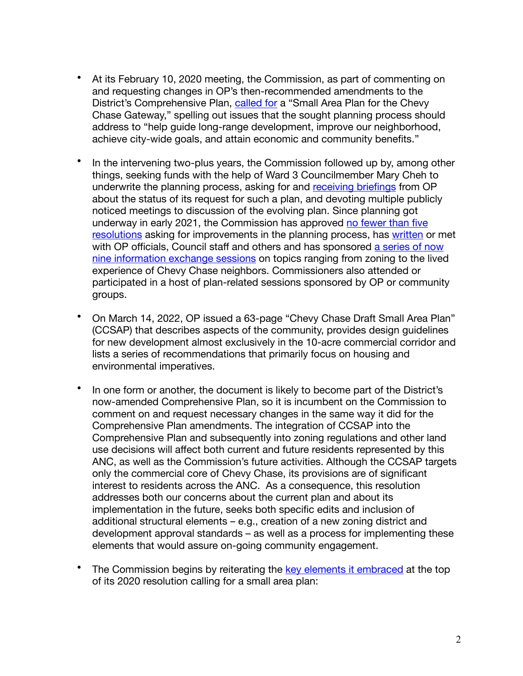- At its February 10, 2020 meeting, the Commission, as part of commenting on and requesting changes in OP's then-recommended amendments to the District's Comprehensive Plan, [called for](https://anc3g.org/wp-content/uploads/2020/02/Comp-Plan-Res-Final.pdf#page=3) a "Small Area Plan for the Chevy Chase Gateway," spelling out issues that the sought planning process should address to "help guide long-range development, improve our neighborhood, achieve city-wide goals, and attain economic and community benefits.''
- In the intervening two-plus years, the Commission followed up by, among other things, seeking funds with the help of Ward 3 Councilmember Mary Cheh to underwrite the planning process, asking for and [receiving briefings](https://www.youtube.com/watch?v=1_-orFmzDGs?t=1h17m15s) from OP about the status of its request for such a plan, and devoting multiple publicly noticed meetings to discussion of the evolving plan. Since planning got underway in early 2021, the Commission has approved [no fewer than five](https://anc3g.org/archives/letters-and-resolutions/)  [resolutions](https://anc3g.org/archives/letters-and-resolutions/) asking for improvements in the planning process, has [written](https://anc3g.org/wp-content/uploads/2022/03/ANC-34G-Cozart-letter-re-SAP-FINAL-3_15_22_signed.pdf) or met with OP officials, Council staff and others and has sponsored [a series of now](https://anc3g.org/task_forces/small-area-plan/anc-3-4g-fall-2021-info-exchange-series/)  [nine information exchange sessions](https://anc3g.org/task_forces/small-area-plan/anc-3-4g-fall-2021-info-exchange-series/) on topics ranging from zoning to the lived experience of Chevy Chase neighbors. Commissioners also attended or participated in a host of plan-related sessions sponsored by OP or community groups.
- On March 14, 2022, OP issued a 63-page "Chevy Chase Draft Small Area Plan" (CCSAP) that describes aspects of the community, provides design guidelines for new development almost exclusively in the 10-acre commercial corridor and lists a series of recommendations that primarily focus on housing and environmental imperatives.
- In one form or another, the document is likely to become part of the District's now-amended Comprehensive Plan, so it is incumbent on the Commission to comment on and request necessary changes in the same way it did for the Comprehensive Plan amendments. The integration of CCSAP into the Comprehensive Plan and subsequently into zoning regulations and other land use decisions will affect both current and future residents represented by this ANC, as well as the Commission's future activities. Although the CCSAP targets only the commercial core of Chevy Chase, its provisions are of significant interest to residents across the ANC. As a consequence, this resolution addresses both our concerns about the current plan and about its implementation in the future, seeks both specific edits and inclusion of additional structural elements – e.g., creation of a new zoning district and development approval standards – as well as a process for implementing these elements that would assure on-going community engagement.
- The Commission begins by reiterating the [key elements it embraced](https://anc3g.org/wp-content/uploads/2020/02/Comp-Plan-Res-Final.pdf#page=2) at the top of its 2020 resolution calling for a small area plan: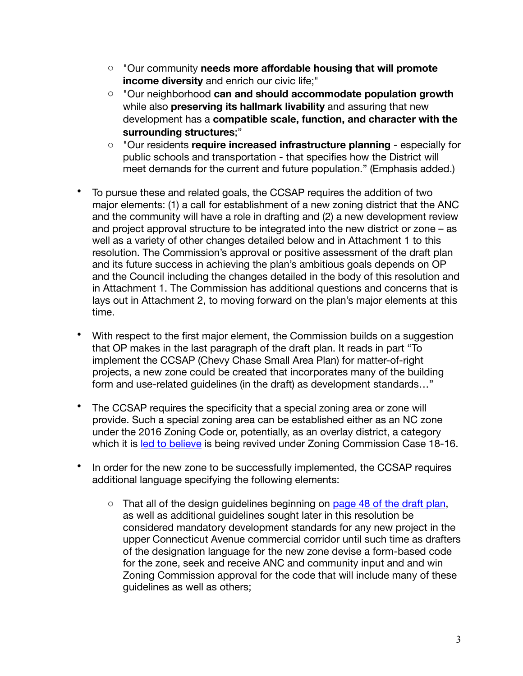- o "Our community **needs more affordable housing that will promote income diversity** and enrich our civic life;"
- o "Our neighborhood **can and should accommodate population growth** while also **preserving its hallmark livability** and assuring that new development has a **compatible scale, function, and character with the surrounding structures**;"
- o "Our residents **require increased infrastructure planning** especially for public schools and transportation - that specifies how the District will meet demands for the current and future population." (Emphasis added.)
- To pursue these and related goals, the CCSAP requires the addition of two major elements: (1) a call for establishment of a new zoning district that the ANC and the community will have a role in drafting and (2) a new development review and project approval structure to be integrated into the new district or zone – as well as a variety of other changes detailed below and in Attachment 1 to this resolution. The Commission's approval or positive assessment of the draft plan and its future success in achieving the plan's ambitious goals depends on OP and the Council including the changes detailed in the body of this resolution and in Attachment 1. The Commission has additional questions and concerns that is lays out in Attachment 2, to moving forward on the plan's major elements at this time.
- With respect to the first major element, the Commission builds on a suggestion that OP makes in the last paragraph of the draft plan. It reads in part "To implement the CCSAP (Chevy Chase Small Area Plan) for matter-of-right projects, a new zone could be created that incorporates many of the building form and use-related guidelines (in the draft) as development standards…"
- The CCSAP requires the specificity that a special zoning area or zone will provide. Such a special zoning area can be established either as an NC zone under the 2016 Zoning Code or, potentially, as an overlay district, a category which it is [led to believe](https://app.dcoz.dc.gov/Exhibits/2010/ZC/18-16/Exhibit10.pdf) is being revived under Zoning Commission Case 18-16.
- In order for the new zone to be successfully implemented, the CCSAP requires additional language specifying the following elements:
	- $\circ$  That all of the design guidelines beginning on [page 48 of the draft plan,](https://publicinput.com/Customer/File/Full/cc763d91-1c5b-4982-afc7-9d57e1670ca3) as well as additional guidelines sought later in this resolution be considered mandatory development standards for any new project in the upper Connecticut Avenue commercial corridor until such time as drafters of the designation language for the new zone devise a form-based code for the zone, seek and receive ANC and community input and and win Zoning Commission approval for the code that will include many of these quidelines as well as others;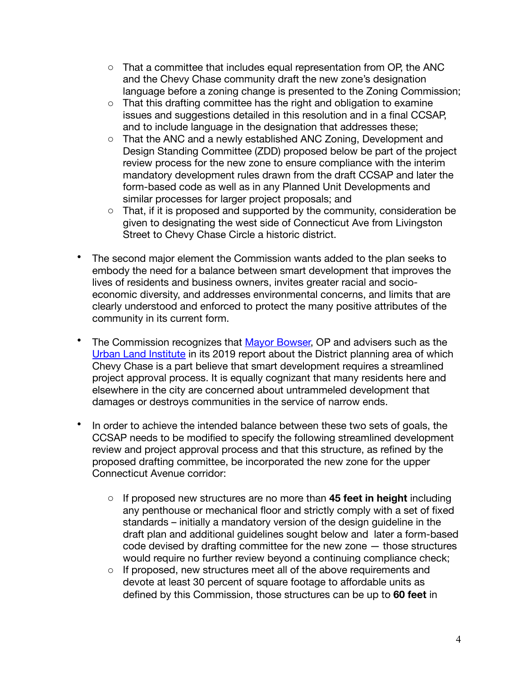- o That a committee that includes equal representation from OP, the ANC and the Chevy Chase community draft the new zone's designation language before a zoning change is presented to the Zoning Commission;
- o That this drafting committee has the right and obligation to examine issues and suggestions detailed in this resolution and in a final CCSAP, and to include language in the designation that addresses these;
- o That the ANC and a newly established ANC Zoning, Development and Design Standing Committee (ZDD) proposed below be part of the project review process for the new zone to ensure compliance with the interim mandatory development rules drawn from the draft CCSAP and later the form-based code as well as in any Planned Unit Developments and similar processes for larger project proposals; and
- o That, if it is proposed and supported by the community, consideration be given to designating the west side of Connecticut Ave from Livingston Street to Chevy Chase Circle a historic district.
- The second major element the Commission wants added to the plan seeks to embody the need for a balance between smart development that improves the lives of residents and business owners, invites greater racial and socioeconomic diversity, and addresses environmental concerns, and limits that are clearly understood and enforced to protect the many positive attributes of the community in its current form.
- The Commission recognizes that [Mayor Bowser,](https://housing.dc.gov/sites/default/files/dc/sites/housingdc/publication/attachments/RCW%2520Roadmap_12.16.21.pdf) OP and advisers such as the [Urban Land Institute](https://dhcd.dc.gov/sites/default/files/dc/sites/dhcd/publication/attachments/DC-Housing-Panel-PPT-FINAL-compressed.pdf#page=14) in its 2019 report about the District planning area of which Chevy Chase is a part believe that smart development requires a streamlined project approval process. It is equally cognizant that many residents here and elsewhere in the city are concerned about untrammeled development that damages or destroys communities in the service of narrow ends.
- In order to achieve the intended balance between these two sets of goals, the CCSAP needs to be modified to specify the following streamlined development review and project approval process and that this structure, as refined by the proposed drafting committee, be incorporated the new zone for the upper Connecticut Avenue corridor:
	- o If proposed new structures are no more than **45 feet in height** including any penthouse or mechanical floor and strictly comply with a set of fixed standards – initially a mandatory version of the design guideline in the draft plan and additional guidelines sought below and later a form-based code devised by drafting committee for the new zone — those structures would require no further review beyond a continuing compliance check;
	- o If proposed, new structures meet all of the above requirements and devote at least 30 percent of square footage to affordable units as defined by this Commission, those structures can be up to **60 feet** in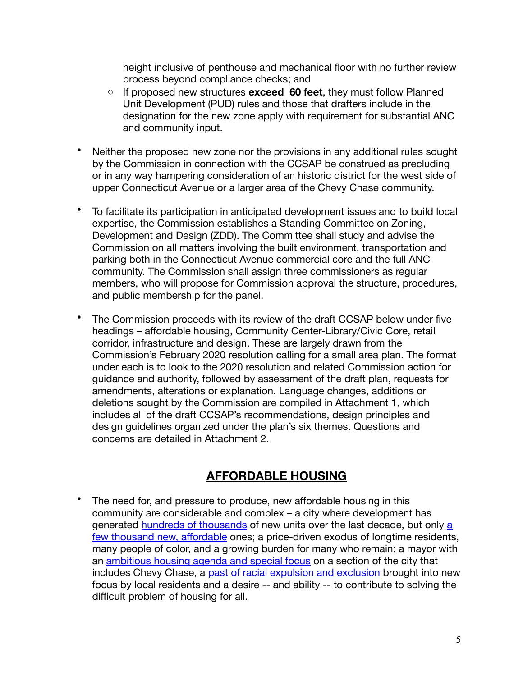height inclusive of penthouse and mechanical floor with no further review process beyond compliance checks; and

- o If proposed new structures **exceed 60 feet**, they must follow Planned Unit Development (PUD) rules and those that drafters include in the designation for the new zone apply with requirement for substantial ANC and community input.
- Neither the proposed new zone nor the provisions in any additional rules sought by the Commission in connection with the CCSAP be construed as precluding or in any way hampering consideration of an historic district for the west side of upper Connecticut Avenue or a larger area of the Chevy Chase community.
- To facilitate its participation in anticipated development issues and to build local expertise, the Commission establishes a Standing Committee on Zoning, Development and Design (ZDD). The Committee shall study and advise the Commission on all matters involving the built environment, transportation and parking both in the Connecticut Avenue commercial core and the full ANC community. The Commission shall assign three commissioners as regular members, who will propose for Commission approval the structure, procedures, and public membership for the panel.
- The Commission proceeds with its review of the draft CCSAP below under five headings – affordable housing, Community Center-Library/Civic Core, retail corridor, infrastructure and design. These are largely drawn from the Commission's February 2020 resolution calling for a small area plan. The format under each is to look to the 2020 resolution and related Commission action for guidance and authority, followed by assessment of the draft plan, requests for amendments, alterations or explanation. Language changes, additions or deletions sought by the Commission are compiled in Attachment 1, which includes all of the draft CCSAP's recommendations, design principles and design guidelines organized under the plan's six themes. Questions and concerns are detailed in Attachment 2.

### **AFFORDABLE HOUSING**

The need for, and pressure to produce, new affordable housing in this community are considerable and complex – a city where development has generated [hundreds of thousands](https://dc.urbanturf.com/articles/blog/dc-added-second-most-housing-units-per-square-mile-in-the-past-decade/18622) of new units over the last decade, but only a [few thousand new, a](https://dhcd.dc.gov/sites/default/files/dc/sites/dhcd/publication/attachments/FY2020%2520IZ%2520Annual%2520Report%2520v2.pdf#page=5)ffordable ones; a price-driven exodus of longtime residents, many people of color, and a growing burden for many who remain; a mayor with an [ambitious housing agenda and special focus](https://housing.dc.gov/sites/default/files/dc/sites/housingdc/publication/attachments/RCW%2520Roadmap_12.16.21.pdf#page=5) on a section of the city that includes Chevy Chase, a [past of racial expulsion and exclusion](https://www.historicchevychasedc.org/category/lafayette-pointer-project/) brought into new focus by local residents and a desire -- and ability -- to contribute to solving the difficult problem of housing for all.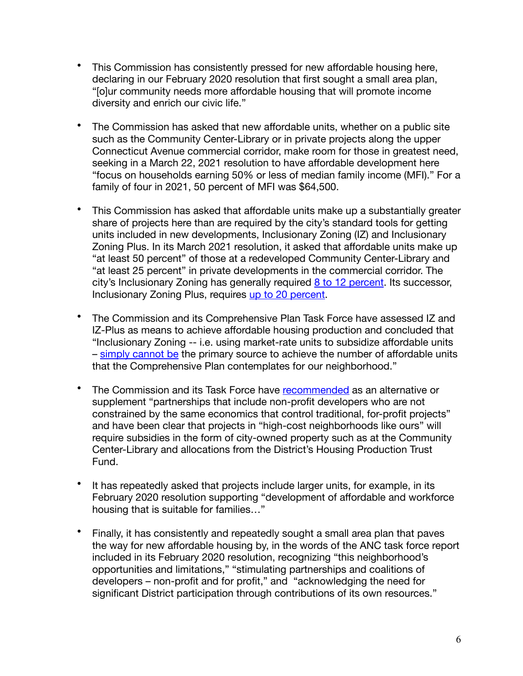- This Commission has consistently pressed for new affordable housing here, declaring in our February 2020 resolution that first sought a small area plan, "[o]ur community needs more affordable housing that will promote income diversity and enrich our civic life."
- The Commission has asked that new affordable units, whether on a public site such as the Community Center-Library or in private projects along the upper Connecticut Avenue commercial corridor, make room for those in greatest need, seeking in a March 22, 2021 resolution to have affordable development here "focus on households earning 50% or less of median family income (MFI)." For a family of four in 2021, 50 percent of MFI was \$64,500.
- This Commission has asked that affordable units make up a substantially greater share of projects here than are required by the city's standard tools for getting units included in new developments, Inclusionary Zoning (IZ) and Inclusionary Zoning Plus. In its March 2021 resolution, it asked that affordable units make up "at least 50 percent" of those at a redeveloped Community Center-Library and "at least 25 percent" in private developments in the commercial corridor. The city's Inclusionary Zoning has generally required [8 to 12 percent](https://dhcd.dc.gov/service/inclusionary-zoning-residential-developers#:~:text=The%2520DC%2520Department%2520of%2520Housing,10%2520or%2520more%2520units%253B%2520and). Its successor, Inclusionary Zoning Plus, requires [up to 20 percent.](https://planning.dc.gov/inclusionaryzoning#:~:text=What%2520is%2520IZ%2520Plus%253F,requirements%2520for%2520certain%2520map%2520amendments.)
- The Commission and its Comprehensive Plan Task Force have assessed IZ and IZ-Plus as means to achieve affordable housing production and concluded that "Inclusionary Zoning -- i.e. using market-rate units to subsidize affordable units – [simply cannot be](https://anc3g.org/wp-content/uploads/2020/02/ANC-Comprehensive-Plan-Task-Force-Report-1-31-2020-Final2.pdf#page=21) the primary source to achieve the number of affordable units that the Comprehensive Plan contemplates for our neighborhood."
- The Commission and its Task Force have [recommended](https://anc3g.org/wp-content/uploads/2020/02/ANC-Comprehensive-Plan-Task-Force-Report-1-31-2020-Final2.pdf#page=21) as an alternative or supplement "partnerships that include non-profit developers who are not constrained by the same economics that control traditional, for-profit projects" and have been clear that projects in "high-cost neighborhoods like ours" will require subsidies in the form of city-owned property such as at the Community Center-Library and allocations from the District's Housing Production Trust Fund.
- It has repeatedly asked that projects include larger units, for example, in its February 2020 resolution supporting "development of affordable and workforce housing that is suitable for families…"
- Finally, it has consistently and repeatedly sought a small area plan that paves the way for new affordable housing by, in the words of the ANC task force report included in its February 2020 resolution, recognizing "this neighborhood's opportunities and limitations," "stimulating partnerships and coalitions of developers – non-profit and for profit," and "acknowledging the need for significant District participation through contributions of its own resources."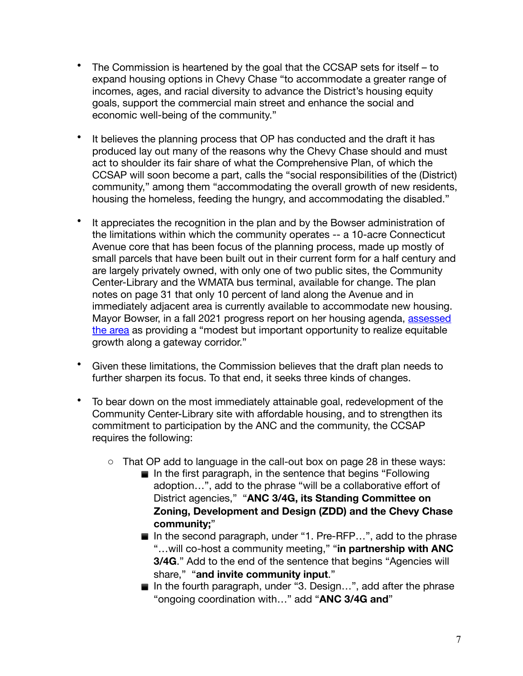- The Commission is heartened by the goal that the CCSAP sets for itself to expand housing options in Chevy Chase "to accommodate a greater range of incomes, ages, and racial diversity to advance the District's housing equity goals, support the commercial main street and enhance the social and economic well-being of the community."
- It believes the planning process that OP has conducted and the draft it has produced lay out many of the reasons why the Chevy Chase should and must act to shoulder its fair share of what the Comprehensive Plan, of which the CCSAP will soon become a part, calls the "social responsibilities of the (District) community," among them "accommodating the overall growth of new residents, housing the homeless, feeding the hungry, and accommodating the disabled."
- It appreciates the recognition in the plan and by the Bowser administration of the limitations within which the community operates -- a 10-acre Connecticut Avenue core that has been focus of the planning process, made up mostly of small parcels that have been built out in their current form for a half century and are largely privately owned, with only one of two public sites, the Community Center-Library and the WMATA bus terminal, available for change. The plan notes on page 31 that only 10 percent of land along the Avenue and in immediately adjacent area is currently available to accommodate new housing. Mayor Bowser, in a fall 2021 progress report on her housing agenda, [assessed](https://housing.dc.gov/sites/default/files/dc/sites/housingdc/publication/attachments/RCW%2520Roadmap_12.16.21.pdf#page=16)  [the area](https://housing.dc.gov/sites/default/files/dc/sites/housingdc/publication/attachments/RCW%2520Roadmap_12.16.21.pdf#page=16) as providing a "modest but important opportunity to realize equitable growth along a gateway corridor."
- Given these limitations, the Commission believes that the draft plan needs to further sharpen its focus. To that end, it seeks three kinds of changes.
- To bear down on the most immediately attainable goal, redevelopment of the Community Center-Library site with affordable housing, and to strengthen its commitment to participation by the ANC and the community, the CCSAP requires the following:
	- o That OP add to language in the call-out box on page 28 in these ways:
		- In the first paragraph, in the sentence that begins "Following" adoption…", add to the phrase "will be a collaborative effort of District agencies," "**ANC 3/4G, its Standing Committee on Zoning, Development and Design (ZDD) and the Chevy Chase community;**"
		- In the second paragraph, under "1. Pre-RFP...", add to the phrase "…will co-host a community meeting," "**in partnership with ANC 3/4G**." Add to the end of the sentence that begins "Agencies will share," "**and invite community input**."
		- In the fourth paragraph, under "3. Design...", add after the phrase "ongoing coordination with…" add "**ANC 3/4G and**"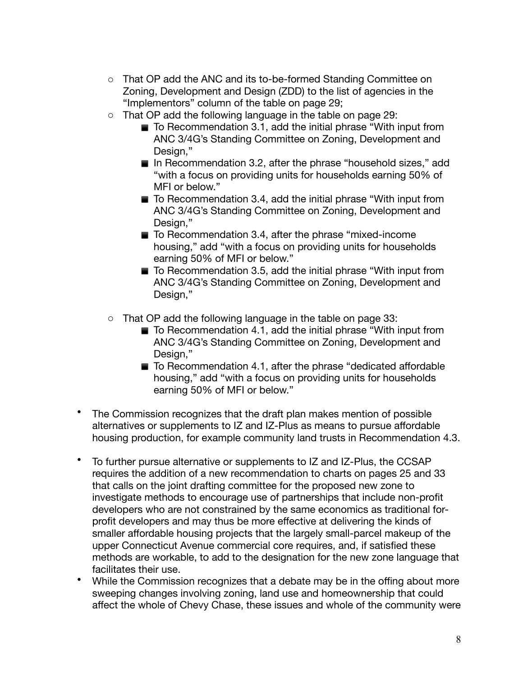- o That OP add the ANC and its to-be-formed Standing Committee on Zoning, Development and Design (ZDD) to the list of agencies in the "Implementors" column of the table on page 29;
- o That OP add the following language in the table on page 29:
	- $\blacksquare$  To Recommendation 3.1, add the initial phrase "With input from ANC 3/4G's Standing Committee on Zoning, Development and Design."
	- In Recommendation 3.2, after the phrase "household sizes," add "with a focus on providing units for households earning 50% of MFI or below."
	- $\blacksquare$  To Recommendation 3.4, add the initial phrase "With input from ANC 3/4G's Standing Committee on Zoning, Development and Design,"
	- To Recommendation 3.4, after the phrase "mixed-income housing," add "with a focus on providing units for households earning 50% of MFI or below."
	- To Recommendation 3.5, add the initial phrase "With input from ANC 3/4G's Standing Committee on Zoning, Development and Design,"
- o That OP add the following language in the table on page 33:
	- $\blacksquare$  To Recommendation 4.1, add the initial phrase "With input from ANC 3/4G's Standing Committee on Zoning, Development and Design."
	- To Recommendation 4.1, after the phrase "dedicated affordable housing," add "with a focus on providing units for households earning 50% of MFI or below."
- The Commission recognizes that the draft plan makes mention of possible alternatives or supplements to IZ and IZ-Plus as means to pursue affordable housing production, for example community land trusts in Recommendation 4.3.
- To further pursue alternative or supplements to IZ and IZ-Plus, the CCSAP requires the addition of a new recommendation to charts on pages 25 and 33 that calls on the joint drafting committee for the proposed new zone to investigate methods to encourage use of partnerships that include non-profit developers who are not constrained by the same economics as traditional forprofit developers and may thus be more effective at delivering the kinds of smaller affordable housing projects that the largely small-parcel makeup of the upper Connecticut Avenue commercial core requires, and, if satisfied these methods are workable, to add to the designation for the new zone language that facilitates their use.
- While the Commission recognizes that a debate may be in the offing about more sweeping changes involving zoning, land use and homeownership that could affect the whole of Chevy Chase, these issues and whole of the community were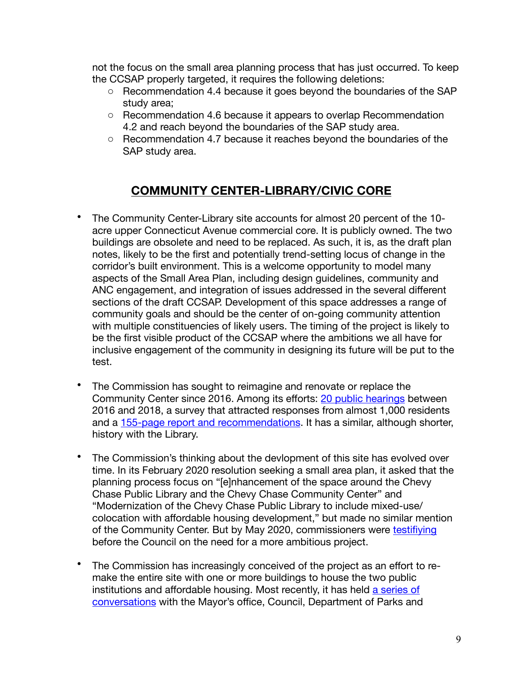not the focus on the small area planning process that has just occurred. To keep the CCSAP properly targeted, it requires the following deletions:

- o Recommendation 4.4 because it goes beyond the boundaries of the SAP study area;
- o Recommendation 4.6 because it appears to overlap Recommendation 4.2 and reach beyond the boundaries of the SAP study area.
- o Recommendation 4.7 because it reaches beyond the boundaries of the SAP study area.

## **COMMUNITY CENTER-LIBRARY/CIVIC CORE**

- The Community Center-Library site accounts for almost 20 percent of the 10 acre upper Connecticut Avenue commercial core. It is publicly owned. The two buildings are obsolete and need to be replaced. As such, it is, as the draft plan notes, likely to be the first and potentially trend-setting locus of change in the corridor's built environment. This is a welcome opportunity to model many aspects of the Small Area Plan, including design guidelines, community and ANC engagement, and integration of issues addressed in the several different sections of the draft CCSAP. Development of this space addresses a range of community goals and should be the center of on-going community attention with multiple constituencies of likely users. The timing of the project is likely to be the first visible product of the CCSAP where the ambitions we all have for inclusive engagement of the community in designing its future will be put to the test.
- The Commission has sought to reimagine and renovate or replace the Community Center since 2016. Among its efforts: [20 public hearings](https://anc3g.org/wp-content/uploads/2019/12/DTF-Meeting-Agenda-Final-2019-12-18.pdf#page=2) between 2016 and 2018, a survey that attracted responses from almost 1,000 residents and a [155-page report and recommendations.](https://anc3g.org/wp-content/uploads/2014/12/CCCC-Report-and-Recommendations-CF-1-22-18-FinalAll.pdf) It has a similar, although shorter, history with the Library.
- The Commission's thinking about the devlopment of this site has evolved over time. In its February 2020 resolution seeking a small area plan, it asked that the planning process focus on "[e]nhancement of the space around the Chevy Chase Public Library and the Chevy Chase Community Center" and "Modernization of the Chevy Chase Public Library to include mixed-use/ colocation with affordable housing development," but made no similar mention of the Community Center. But by May 2020, commissioners were [testifiying](https://anc3g.org/wp-content/uploads/2020/05/ANC-34G-Testimony-for-Budget-Hearings-on-Chevy-Chase-Gateway.pdf#page=5) before the Council on the need for a more ambitious project.
- The Commission has increasingly conceived of the project as an effort to remake the entire site with one or more buildings to house the two public institutions and affordable housing. Most recently, it has held [a series of](https://anc3g.org/wp-content/uploads/2021/12/ANC-34G-minutes-for-Nov-8-2021-FINAL.pdf#page=9)  [conversations](https://anc3g.org/wp-content/uploads/2021/12/ANC-34G-minutes-for-Nov-8-2021-FINAL.pdf#page=9) with the Mayor's office, Council, Department of Parks and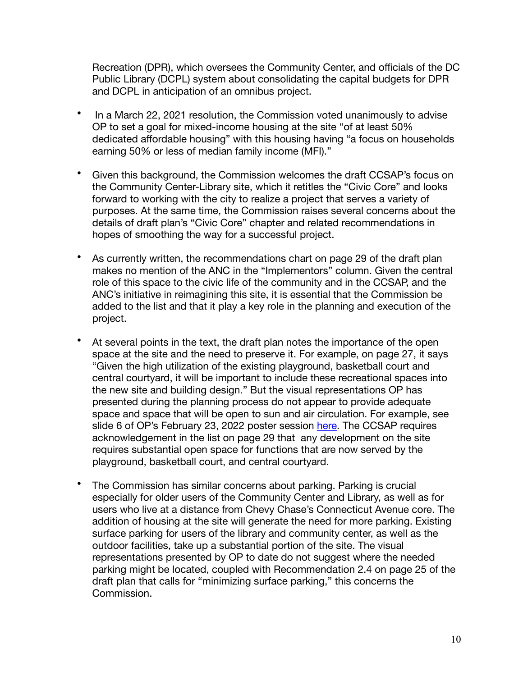Recreation (DPR), which oversees the Community Center, and officials of the DC Public Library (DCPL) system about consolidating the capital budgets for DPR and DCPL in anticipation of an omnibus project.

- In a March 22, 2021 resolution, the Commission voted unanimously to advise OP to set a goal for mixed-income housing at the site "of at least 50% dedicated affordable housing" with this housing having "a focus on households earning 50% or less of median family income (MFI)."
- Given this background, the Commission welcomes the draft CCSAP's focus on the Community Center-Library site, which it retitles the "Civic Core" and looks forward to working with the city to realize a project that serves a variety of purposes. At the same time, the Commission raises several concerns about the details of draft plan's "Civic Core" chapter and related recommendations in hopes of smoothing the way for a successful project.
- As currently written, the recommendations chart on page 29 of the draft plan makes no mention of the ANC in the "Implementors" column. Given the central role of this space to the civic life of the community and in the CCSAP, and the ANC's initiative in reimagining this site, it is essential that the Commission be added to the list and that it play a key role in the planning and execution of the project.
- At several points in the text, the draft plan notes the importance of the open space at the site and the need to preserve it. For example, on page 27, it says "Given the high utilization of the existing playground, basketball court and central courtyard, it will be important to include these recreational spaces into the new site and building design." But the visual representations OP has presented during the planning process do not appear to provide adequate space and space that will be open to sun and air circulation. For example, see slide 6 of OP's February 23, 2022 poster session [here.](https://publicinput.com/Customer/File/Full/cdabfb21-12ed-4094-87a8-cbd392b88724) The CCSAP requires acknowledgement in the list on page 29 that any development on the site requires substantial open space for functions that are now served by the playground, basketball court, and central courtyard.
- The Commission has similar concerns about parking. Parking is crucial especially for older users of the Community Center and Library, as well as for users who live at a distance from Chevy Chase's Connecticut Avenue core. The addition of housing at the site will generate the need for more parking. Existing surface parking for users of the library and community center, as well as the outdoor facilities, take up a substantial portion of the site. The visual representations presented by OP to date do not suggest where the needed parking might be located, coupled with Recommendation 2.4 on page 25 of the draft plan that calls for "minimizing surface parking," this concerns the Commission.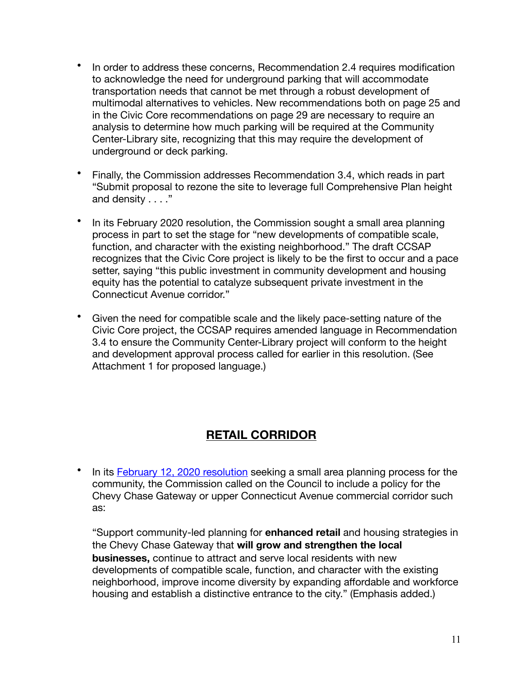- In order to address these concerns, Recommendation 2.4 requires modification to acknowledge the need for underground parking that will accommodate transportation needs that cannot be met through a robust development of multimodal alternatives to vehicles. New recommendations both on page 25 and in the Civic Core recommendations on page 29 are necessary to require an analysis to determine how much parking will be required at the Community Center-Library site, recognizing that this may require the development of underground or deck parking.
- Finally, the Commission addresses Recommendation 3.4, which reads in part "Submit proposal to rezone the site to leverage full Comprehensive Plan height and density . . . ."
- In its February 2020 resolution, the Commission sought a small area planning process in part to set the stage for "new developments of compatible scale, function, and character with the existing neighborhood." The draft CCSAP recognizes that the Civic Core project is likely to be the first to occur and a pace setter, saying "this public investment in community development and housing equity has the potential to catalyze subsequent private investment in the Connecticut Avenue corridor."
- Given the need for compatible scale and the likely pace-setting nature of the Civic Core project, the CCSAP requires amended language in Recommendation 3.4 to ensure the Community Center-Library project will conform to the height and development approval process called for earlier in this resolution. (See Attachment 1 for proposed language.)

### **RETAIL CORRIDOR**

• In its [February 12, 2020 resolution](https://anc3g.org/wp-content/uploads/2020/02/Comp-Plan-Res-Final.pdf#page=4) seeking a small area planning process for the community, the Commission called on the Council to include a policy for the Chevy Chase Gateway or upper Connecticut Avenue commercial corridor such as:

"Support community-led planning for **enhanced retail** and housing strategies in the Chevy Chase Gateway that **will grow and strengthen the local businesses,** continue to attract and serve local residents with new developments of compatible scale, function, and character with the existing neighborhood, improve income diversity by expanding affordable and workforce housing and establish a distinctive entrance to the city." (Emphasis added.)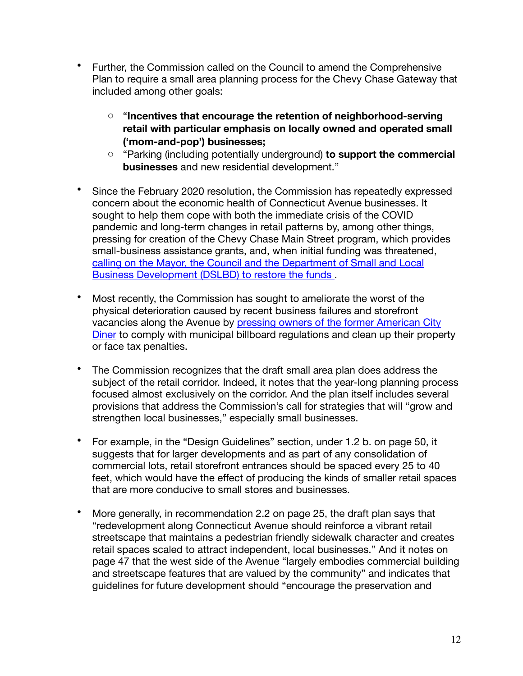- Further, the Commission called on the Council to amend the Comprehensive Plan to require a small area planning process for the Chevy Chase Gateway that included among other goals:
	- o "**Incentives that encourage the retention of neighborhood-serving retail with particular emphasis on locally owned and operated small ('mom-and-pop') businesses;**
	- o "Parking (including potentially underground) **to support the commercial businesses** and new residential development."
- Since the February 2020 resolution, the Commission has repeatedly expressed concern about the economic health of Connecticut Avenue businesses. It sought to help them cope with both the immediate crisis of the COVID pandemic and long-term changes in retail patterns by, among other things, pressing for creation of the Chevy Chase Main Street program, which provides small-business assistance grants, and, when initial funding was threatened, [calling on the Mayor, the Council and the Department of Small and Local](https://anc3g.org/wp-content/uploads/2020/11/Resolution-re-Reinstatement-of-Chevy-Chase-Main-Street-Grant-10-26-20.pdf)  [Business Development \(DSLBD\) to restore the funds .](https://anc3g.org/wp-content/uploads/2020/11/Resolution-re-Reinstatement-of-Chevy-Chase-Main-Street-Grant-10-26-20.pdf)
- Most recently, the Commission has sought to ameliorate the worst of the physical deterioration caused by recent business failures and storefront vacancies along the Avenue by pressing owners of the former American City [Diner](https://anc3g.org/wp-content/uploads/2022/02/ANC-34G_DCRA-Am-City-Diner-letter-2_15_22-FINAL.pdf) to comply with municipal billboard regulations and clean up their property or face tax penalties.
- The Commission recognizes that the draft small area plan does address the subject of the retail corridor. Indeed, it notes that the year-long planning process focused almost exclusively on the corridor. And the plan itself includes several provisions that address the Commission's call for strategies that will "grow and strengthen local businesses," especially small businesses.
- For example, in the "Design Guidelines" section, under 1.2 b. on page 50, it suggests that for larger developments and as part of any consolidation of commercial lots, retail storefront entrances should be spaced every 25 to 40 feet, which would have the effect of producing the kinds of smaller retail spaces that are more conducive to small stores and businesses.
- More generally, in recommendation 2.2 on page 25, the draft plan says that "redevelopment along Connecticut Avenue should reinforce a vibrant retail streetscape that maintains a pedestrian friendly sidewalk character and creates retail spaces scaled to attract independent, local businesses." And it notes on page 47 that the west side of the Avenue "largely embodies commercial building and streetscape features that are valued by the community" and indicates that guidelines for future development should "encourage the preservation and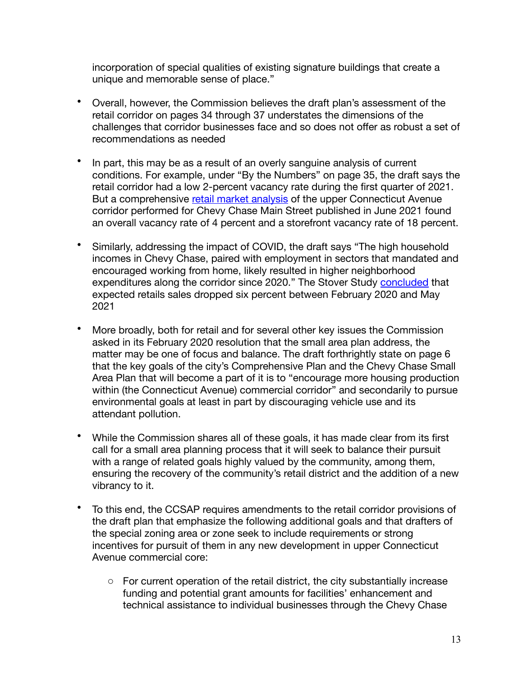incorporation of special qualities of existing signature buildings that create a unique and memorable sense of place."

- Overall, however, the Commission believes the draft plan's assessment of the retail corridor on pages 34 through 37 understates the dimensions of the challenges that corridor businesses face and so does not offer as robust a set of recommendations as needed
- In part, this may be as a result of an overly sanguine analysis of current conditions. For example, under "By the Numbers" on page 35, the draft says the retail corridor had a low 2-percent vacancy rate during the first quarter of 2021. But a comprehensive [retail market analysis](https://www.districtbridges.org/wp-content/uploads/2021/07/Chevy-Chase-Retail-Market-Analysis-8x8-1.pdf#page=8) of the upper Connecticut Avenue corridor performed for Chevy Chase Main Street published in June 2021 found an overall vacancy rate of 4 percent and a storefront vacancy rate of 18 percent.
- Similarly, addressing the impact of COVID, the draft says "The high household incomes in Chevy Chase, paired with employment in sectors that mandated and encouraged working from home, likely resulted in higher neighborhood expenditures along the corridor since 2020." The Stover Study [concluded](https://www.districtbridges.org/wp-content/uploads/2021/07/Chevy-Chase-Retail-Market-Analysis-8x8-1.pdf#page=14) that expected retails sales dropped six percent between February 2020 and May 2021
- More broadly, both for retail and for several other key issues the Commission asked in its February 2020 resolution that the small area plan address, the matter may be one of focus and balance. The draft forthrightly state on page 6 that the key goals of the city's Comprehensive Plan and the Chevy Chase Small Area Plan that will become a part of it is to "encourage more housing production within (the Connecticut Avenue) commercial corridor" and secondarily to pursue environmental goals at least in part by discouraging vehicle use and its attendant pollution.
- While the Commission shares all of these goals, it has made clear from its first call for a small area planning process that it will seek to balance their pursuit with a range of related goals highly valued by the community, among them, ensuring the recovery of the community's retail district and the addition of a new vibrancy to it.
- To this end, the CCSAP requires amendments to the retail corridor provisions of the draft plan that emphasize the following additional goals and that drafters of the special zoning area or zone seek to include requirements or strong incentives for pursuit of them in any new development in upper Connecticut Avenue commercial core:
	- o For current operation of the retail district, the city substantially increase funding and potential grant amounts for facilities' enhancement and technical assistance to individual businesses through the Chevy Chase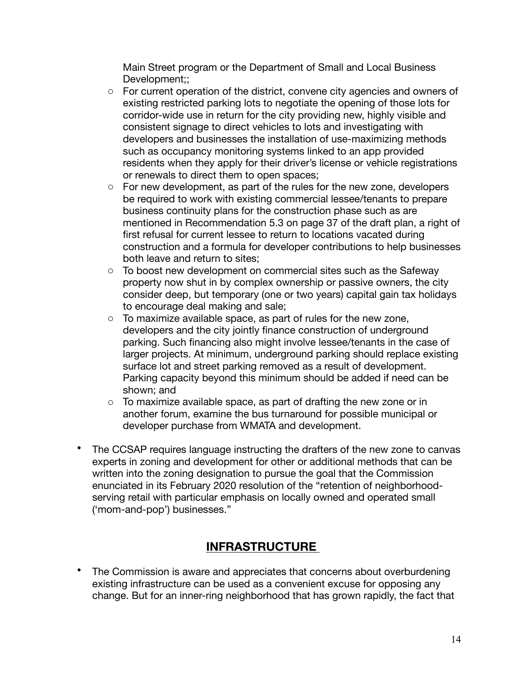Main Street program or the Department of Small and Local Business Development;;

- o For current operation of the district, convene city agencies and owners of existing restricted parking lots to negotiate the opening of those lots for corridor-wide use in return for the city providing new, highly visible and consistent signage to direct vehicles to lots and investigating with developers and businesses the installation of use-maximizing methods such as occupancy monitoring systems linked to an app provided residents when they apply for their driver's license or vehicle registrations or renewals to direct them to open spaces;
- o For new development, as part of the rules for the new zone, developers be required to work with existing commercial lessee/tenants to prepare business continuity plans for the construction phase such as are mentioned in Recommendation 5.3 on page 37 of the draft plan, a right of first refusal for current lessee to return to locations vacated during construction and a formula for developer contributions to help businesses both leave and return to sites;
- o To boost new development on commercial sites such as the Safeway property now shut in by complex ownership or passive owners, the city consider deep, but temporary (one or two years) capital gain tax holidays to encourage deal making and sale;
- $\circ$  To maximize available space, as part of rules for the new zone, developers and the city jointly finance construction of underground parking. Such financing also might involve lessee/tenants in the case of larger projects. At minimum, underground parking should replace existing surface lot and street parking removed as a result of development. Parking capacity beyond this minimum should be added if need can be shown; and
- o To maximize available space, as part of drafting the new zone or in another forum, examine the bus turnaround for possible municipal or developer purchase from WMATA and development.
- The CCSAP requires language instructing the drafters of the new zone to canvas experts in zoning and development for other or additional methods that can be written into the zoning designation to pursue the goal that the Commission enunciated in its February 2020 resolution of the "retention of neighborhoodserving retail with particular emphasis on locally owned and operated small ('mom-and-pop') businesses."

### **INFRASTRUCTURE**

• The Commission is aware and appreciates that concerns about overburdening existing infrastructure can be used as a convenient excuse for opposing any change. But for an inner-ring neighborhood that has grown rapidly, the fact that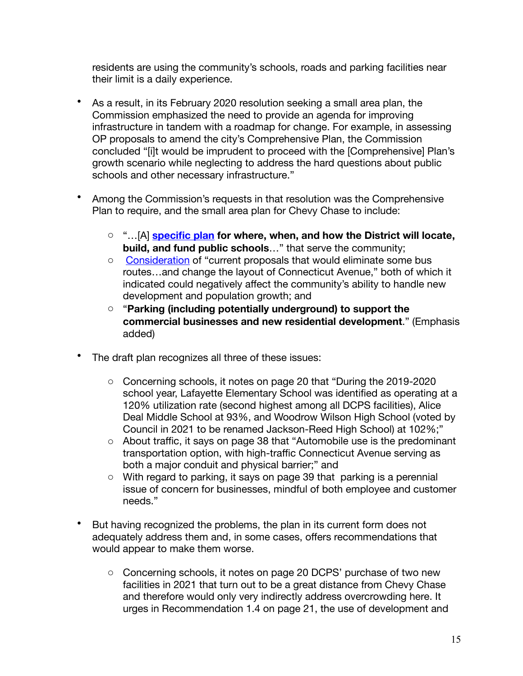residents are using the community's schools, roads and parking facilities near their limit is a daily experience.

- As a result, in its February 2020 resolution seeking a small area plan, the Commission emphasized the need to provide an agenda for improving infrastructure in tandem with a roadmap for change. For example, in assessing OP proposals to amend the city's Comprehensive Plan, the Commission concluded "[i]t would be imprudent to proceed with the [Comprehensive] Plan's growth scenario while neglecting to address the hard questions about public schools and other necessary infrastructure."
- Among the Commission's requests in that resolution was the Comprehensive Plan to require, and the small area plan for Chevy Chase to include:
	- o "…[A] **[specific plan](https://anc3g.org/wp-content/uploads/2020/02/Comp-Plan-Res-Final.pdf#page=6) for where, when, and how the District will locate, build, and fund public schools**…" that serve the community;
	- o [Consideration](https://anc3g.org/wp-content/uploads/2020/02/Comp-Plan-Res-Final.pdf#page=3) of "current proposals that would eliminate some bus routes…and change the layout of Connecticut Avenue," both of which it indicated could negatively affect the community's ability to handle new development and population growth; and
	- o "**Parking (including potentially underground) to support the commercial businesses and new residential development**." (Emphasis added)
- The draft plan recognizes all three of these issues:
	- $\circ$  Concerning schools, it notes on page 20 that "During the 2019-2020 school year, Lafayette Elementary School was identified as operating at a 120% utilization rate (second highest among all DCPS facilities), Alice Deal Middle School at 93%, and Woodrow Wilson High School (voted by Council in 2021 to be renamed Jackson-Reed High School) at 102%;"
	- o About traffic, it says on page 38 that "Automobile use is the predominant transportation option, with high-traffic Connecticut Avenue serving as both a major conduit and physical barrier;" and
	- o With regard to parking, it says on page 39 that parking is a perennial issue of concern for businesses, mindful of both employee and customer needs."
- But having recognized the problems, the plan in its current form does not adequately address them and, in some cases, offers recommendations that would appear to make them worse.
	- o Concerning schools, it notes on page 20 DCPS' purchase of two new facilities in 2021 that turn out to be a great distance from Chevy Chase and therefore would only very indirectly address overcrowding here. It urges in Recommendation 1.4 on page 21, the use of development and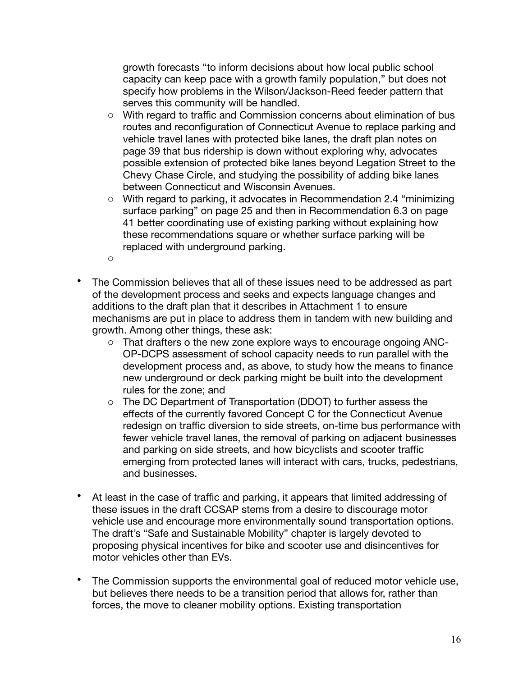growth forecasts "to inform decisions about how local public school capacity can keep pace with a growth family population,'' but does not specify how problems in the Wilson/Jackson-Reed feeder pattern that serves this community will be handled.

- o With regard to traffic and Commission concerns about elimination of bus routes and reconfiguration of Connecticut Avenue to replace parking and vehicle travel lanes with protected bike lanes, the draft plan notes on page 39 that bus ridership is down without exploring why, advocates possible extension of protected bike lanes beyond Legation Street to the Chevy Chase Circle, and studying the possibility of adding bike lanes between Connecticut and Wisconsin Avenues.
- o With regard to parking, it advocates in Recommendation 2.4 "minimizing surface parking" on page 25 and then in Recommendation 6.3 on page 41 better coordinating use of existing parking without explaining how these recommendations square or whether surface parking will be replaced with underground parking.
- o
- The Commission believes that all of these issues need to be addressed as part of the development process and seeks and expects language changes and additions to the draft plan that it describes in Attachment 1 to ensure mechanisms are put in place to address them in tandem with new building and growth. Among other things, these ask:
	- o That drafters o the new zone explore ways to encourage ongoing ANC-OP-DCPS assessment of school capacity needs to run parallel with the development process and, as above, to study how the means to finance new underground or deck parking might be built into the development rules for the zone; and
	- o The DC Department of Transportation (DDOT) to further assess the effects of the currently favored Concept C for the Connecticut Avenue redesign on traffic diversion to side streets, on-time bus performance with fewer vehicle travel lanes, the removal of parking on adjacent businesses and parking on side streets, and how bicyclists and scooter traffic emerging from protected lanes will interact with cars, trucks, pedestrians, and businesses.
- At least in the case of traffic and parking, it appears that limited addressing of these issues in the draft CCSAP stems from a desire to discourage motor vehicle use and encourage more environmentally sound transportation options. The draft's "Safe and Sustainable Mobility" chapter is largely devoted to proposing physical incentives for bike and scooter use and disincentives for motor vehicles other than EVs.
- The Commission supports the environmental goal of reduced motor vehicle use, but believes there needs to be a transition period that allows for, rather than forces, the move to cleaner mobility options. Existing transportation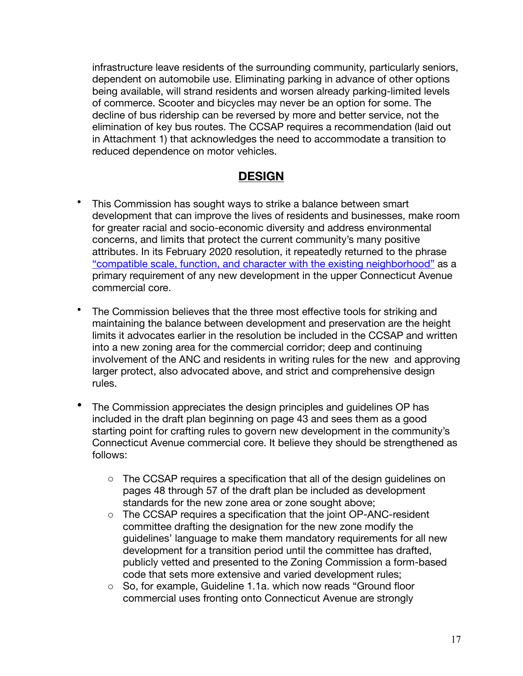infrastructure leave residents of the surrounding community, particularly seniors, dependent on automobile use. Eliminating parking in advance of other options being available, will strand residents and worsen already parking-limited levels of commerce. Scooter and bicycles may never be an option for some. The decline of bus ridership can be reversed by more and better service, not the elimination of key bus routes. The CCSAP requires a recommendation (laid out in Attachment 1) that acknowledges the need to accommodate a transition to reduced dependence on motor vehicles.

#### **DESIGN**

- This Commission has sought ways to strike a balance between smart development that can improve the lives of residents and businesses, make room for greater racial and socio-economic diversity and address environmental concerns, and limits that protect the current community's many positive attributes. In its February 2020 resolution, it repeatedly returned to the phrase ["compatible scale, function, and character with the existing neighborhood"](https://anc3g.org/wp-content/uploads/2020/02/Comp-Plan-Res-Final.pdf#page=2) as a primary requirement of any new development in the upper Connecticut Avenue commercial core.
- The Commission believes that the three most effective tools for striking and maintaining the balance between development and preservation are the height limits it advocates earlier in the resolution be included in the CCSAP and written into a new zoning area for the commercial corridor; deep and continuing involvement of the ANC and residents in writing rules for the new and approving larger protect, also advocated above, and strict and comprehensive design rules.
- The Commission appreciates the design principles and guidelines OP has included in the draft plan beginning on page 43 and sees them as a good starting point for crafting rules to govern new development in the community's Connecticut Avenue commercial core. It believe they should be strengthened as follows:
	- o The CCSAP requires a specification that all of the design guidelines on pages 48 through 57 of the draft plan be included as development standards for the new zone area or zone sought above;
	- o The CCSAP requires a specification that the joint OP-ANC-resident committee drafting the designation for the new zone modify the guidelines' language to make them mandatory requirements for all new development for a transition period until the committee has drafted, publicly vetted and presented to the Zoning Commission a form-based code that sets more extensive and varied development rules;
	- o So, for example, Guideline 1.1a. which now reads "Ground floor commercial uses fronting onto Connecticut Avenue are strongly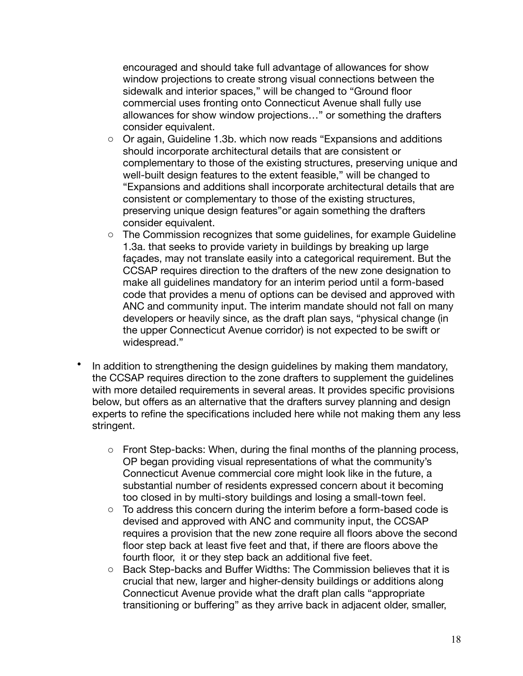encouraged and should take full advantage of allowances for show window projections to create strong visual connections between the sidewalk and interior spaces," will be changed to "Ground floor commercial uses fronting onto Connecticut Avenue shall fully use allowances for show window projections…" or something the drafters consider equivalent.

- o Or again, Guideline 1.3b. which now reads "Expansions and additions should incorporate architectural details that are consistent or complementary to those of the existing structures, preserving unique and well-built design features to the extent feasible," will be changed to "Expansions and additions shall incorporate architectural details that are consistent or complementary to those of the existing structures, preserving unique design features"or again something the drafters consider equivalent.
- o The Commission recognizes that some guidelines, for example Guideline 1.3a. that seeks to provide variety in buildings by breaking up large façades, may not translate easily into a categorical requirement. But the CCSAP requires direction to the drafters of the new zone designation to make all guidelines mandatory for an interim period until a form-based code that provides a menu of options can be devised and approved with ANC and community input. The interim mandate should not fall on many developers or heavily since, as the draft plan says, "physical change (in the upper Connecticut Avenue corridor) is not expected to be swift or widespread."
- In addition to strengthening the design guidelines by making them mandatory, the CCSAP requires direction to the zone drafters to supplement the guidelines with more detailed requirements in several areas. It provides specific provisions below, but offers as an alternative that the drafters survey planning and design experts to refine the specifications included here while not making them any less stringent.
	- o Front Step-backs: When, during the final months of the planning process, OP began providing visual representations of what the community's Connecticut Avenue commercial core might look like in the future, a substantial number of residents expressed concern about it becoming too closed in by multi-story buildings and losing a small-town feel.
	- o To address this concern during the interim before a form-based code is devised and approved with ANC and community input, the CCSAP requires a provision that the new zone require all floors above the second floor step back at least five feet and that, if there are floors above the fourth floor, it or they step back an additional five feet.
	- o Back Step-backs and Buffer Widths: The Commission believes that it is crucial that new, larger and higher-density buildings or additions along Connecticut Avenue provide what the draft plan calls "appropriate transitioning or buffering" as they arrive back in adjacent older, smaller,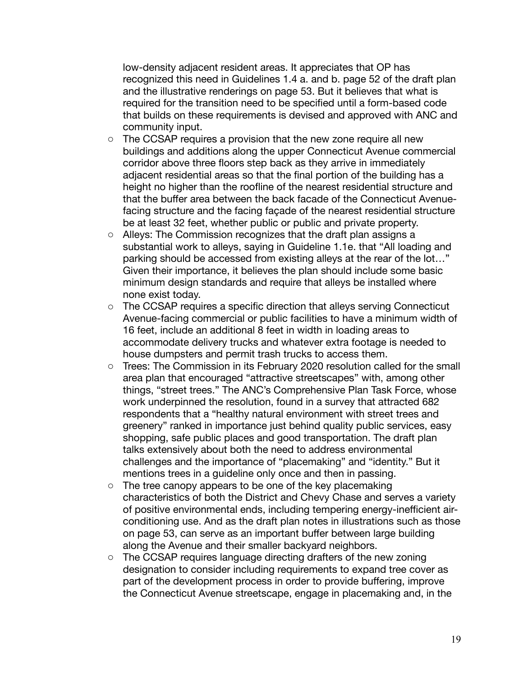low-density adjacent resident areas. It appreciates that OP has recognized this need in Guidelines 1.4 a. and b. page 52 of the draft plan and the illustrative renderings on page 53. But it believes that what is required for the transition need to be specified until a form-based code that builds on these requirements is devised and approved with ANC and community input.

- o The CCSAP requires a provision that the new zone require all new buildings and additions along the upper Connecticut Avenue commercial corridor above three floors step back as they arrive in immediately adjacent residential areas so that the final portion of the building has a height no higher than the roofline of the nearest residential structure and that the buffer area between the back facade of the Connecticut Avenuefacing structure and the facing façade of the nearest residential structure be at least 32 feet, whether public or public and private property.
- o Alleys: The Commission recognizes that the draft plan assigns a substantial work to alleys, saying in Guideline 1.1e. that "All loading and parking should be accessed from existing alleys at the rear of the lot…" Given their importance, it believes the plan should include some basic minimum design standards and require that alleys be installed where none exist today.
- o The CCSAP requires a specific direction that alleys serving Connecticut Avenue-facing commercial or public facilities to have a minimum width of 16 feet, include an additional 8 feet in width in loading areas to accommodate delivery trucks and whatever extra footage is needed to house dumpsters and permit trash trucks to access them.
- o Trees: The Commission in its February 2020 resolution called for the small area plan that encouraged "attractive streetscapes" with, among other things, "street trees." The ANC's Comprehensive Plan Task Force, whose work underpinned the resolution, found in a survey that attracted 682 respondents that a "healthy natural environment with street trees and greenery" ranked in importance just behind quality public services, easy shopping, safe public places and good transportation. The draft plan talks extensively about both the need to address environmental challenges and the importance of "placemaking" and "identity." But it mentions trees in a guideline only once and then in passing.
- o The tree canopy appears to be one of the key placemaking characteristics of both the District and Chevy Chase and serves a variety of positive environmental ends, including tempering energy-inefficient airconditioning use. And as the draft plan notes in illustrations such as those on page 53, can serve as an important buffer between large building along the Avenue and their smaller backyard neighbors.
- o The CCSAP requires language directing drafters of the new zoning designation to consider including requirements to expand tree cover as part of the development process in order to provide buffering, improve the Connecticut Avenue streetscape, engage in placemaking and, in the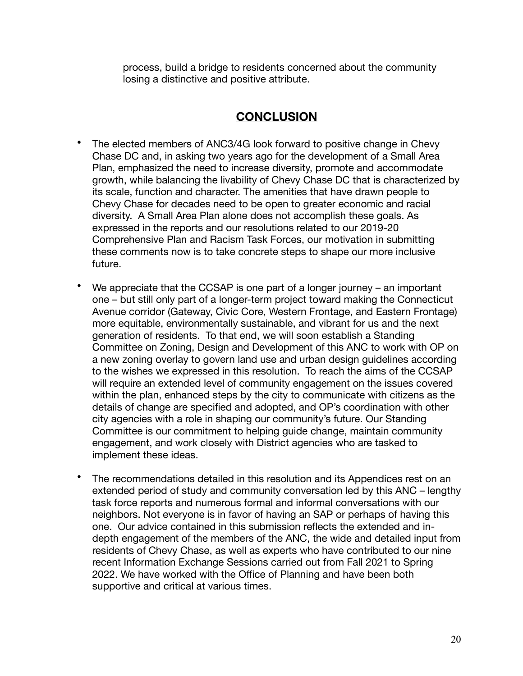process, build a bridge to residents concerned about the community losing a distinctive and positive attribute.

#### **CONCLUSION**

- The elected members of ANC3/4G look forward to positive change in Chevy Chase DC and, in asking two years ago for the development of a Small Area Plan, emphasized the need to increase diversity, promote and accommodate growth, while balancing the livability of Chevy Chase DC that is characterized by its scale, function and character. The amenities that have drawn people to Chevy Chase for decades need to be open to greater economic and racial diversity. A Small Area Plan alone does not accomplish these goals. As expressed in the reports and our resolutions related to our 2019-20 Comprehensive Plan and Racism Task Forces, our motivation in submitting these comments now is to take concrete steps to shape our more inclusive future.
- We appreciate that the CCSAP is one part of a longer journey an important one – but still only part of a longer-term project toward making the Connecticut Avenue corridor (Gateway, Civic Core, Western Frontage, and Eastern Frontage) more equitable, environmentally sustainable, and vibrant for us and the next generation of residents. To that end, we will soon establish a Standing Committee on Zoning, Design and Development of this ANC to work with OP on a new zoning overlay to govern land use and urban design guidelines according to the wishes we expressed in this resolution. To reach the aims of the CCSAP will require an extended level of community engagement on the issues covered within the plan, enhanced steps by the city to communicate with citizens as the details of change are specified and adopted, and OP's coordination with other city agencies with a role in shaping our community's future. Our Standing Committee is our commitment to helping guide change, maintain community engagement, and work closely with District agencies who are tasked to implement these ideas.
- The recommendations detailed in this resolution and its Appendices rest on an extended period of study and community conversation led by this ANC – lengthy task force reports and numerous formal and informal conversations with our neighbors. Not everyone is in favor of having an SAP or perhaps of having this one. Our advice contained in this submission reflects the extended and indepth engagement of the members of the ANC, the wide and detailed input from residents of Chevy Chase, as well as experts who have contributed to our nine recent Information Exchange Sessions carried out from Fall 2021 to Spring 2022. We have worked with the Office of Planning and have been both supportive and critical at various times.